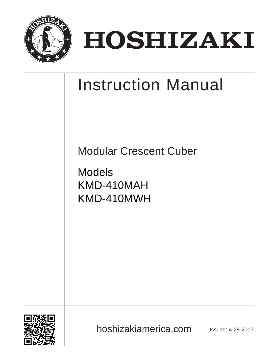

# HOSHIZAKI

# Instruction Manual

Modular Crescent Cuber

Models KMD-410MAH KMD-410MWH



hoshizakiamerica.com **Issued: 4-28-2017**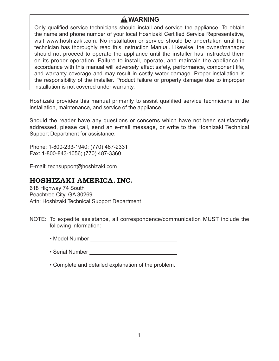# **WARNING**

Only qualified service technicians should install and service the appliance. To obtain the name and phone number of your local Hoshizaki Certified Service Representative, visit www.hoshizaki.com. No installation or service should be undertaken until the technician has thoroughly read this Instruction Manual. Likewise, the owner/manager should not proceed to operate the appliance until the installer has instructed them on its proper operation. Failure to install, operate, and maintain the appliance in accordance with this manual will adversely affect safety, performance, component life, and warranty coverage and may result in costly water damage. Proper installation is the responsibility of the installer. Product failure or property damage due to improper installation is not covered under warranty.

Hoshizaki provides this manual primarily to assist qualified service technicians in the installation, maintenance, and service of the appliance.

Should the reader have any questions or concerns which have not been satisfactorily addressed, please call, send an e-mail message, or write to the Hoshizaki Technical Support Department for assistance.

Phone: 1-800-233-1940; (770) 487-2331 Fax: 1-800-843-1056; (770) 487-3360

E-mail: techsupport@hoshizaki.com

#### HOSHIZAKI AMERICA, INC.

618 Highway 74 South Peachtree City, GA 30269 Attn: Hoshizaki Technical Support Department

- NOTE: To expedite assistance, all correspondence/communication MUST include the following information:
	- Model Number
	- Serial Number
	- Complete and detailed explanation of the problem.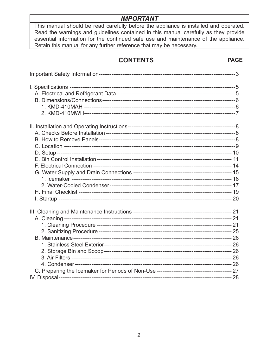# **IMPORTANT**

This manual should be read carefully before the appliance is installed and operated. Read the warnings and guidelines contained in this manual carefully as they provide essential information for the continued safe use and maintenance of the appliance. Retain this manual for any further reference that may be necessary.

# **CONTENTS**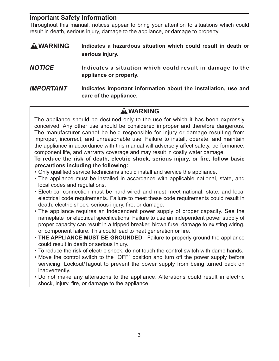# **Important Safety Information**

Throughout this manual, notices appear to bring your attention to situations which could result in death, serious injury, damage to the appliance, or damage to property.

- **A WARNING** Indicates a hazardous situation which could result in death or **serious injury.**
- *NOTICE* **Indicates a situation which could result in damage to the appliance or property.**
- *IMPORTANT* **Indicates important information about the installation, use and care of the appliance.**

# **WARNING**

The appliance should be destined only to the use for which it has been expressly conceived. Any other use should be considered improper and therefore dangerous. The manufacturer cannot be held responsible for injury or damage resulting from improper, incorrect, and unreasonable use. Failure to install, operate, and maintain the appliance in accordance with this manual will adversely affect safety, performance, component life, and warranty coverage and may result in costly water damage.

#### To reduce the risk of death, electric shock, serious injury, or fire, follow basic **precautions including the following:**

- Only qualified service technicians should install and service the appliance.
- The appliance must be installed in accordance with applicable national, state, and local codes and regulations.
- Electrical connection must be hard-wired and must meet national, state, and local electrical code requirements. Failure to meet these code requirements could result in death, electric shock, serious injury, fire, or damage.
- The appliance requires an independent power supply of proper capacity. See the nameplate for electrical specifications. Failure to use an independent power supply of proper capacity can result in a tripped breaker, blown fuse, damage to existing wiring, or component failure. This could lead to heat generation or fire.
- **THE APPLIANCE MUST BE GROUNDED:** Failure to properly ground the appliance could result in death or serious injury.
- To reduce the risk of electric shock, do not touch the control switch with damp hands.
- Move the control switch to the "OFF" position and turn off the power supply before servicing. Lockout/Tagout to prevent the power supply from being turned back on inadvertently.
- Do not make any alterations to the appliance. Alterations could result in electric shock, injury, fire, or damage to the appliance.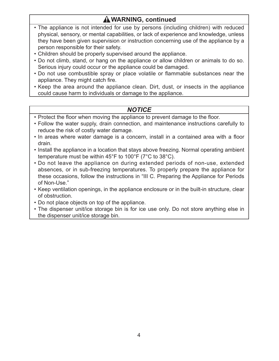# **WARNING, continued**

- The appliance is not intended for use by persons (including children) with reduced physical, sensory, or mental capabilities, or lack of experience and knowledge, unless they have been given supervision or instruction concerning use of the appliance by a person responsible for their safety.
- Children should be properly supervised around the appliance.
- Do not climb, stand, or hang on the appliance or allow children or animals to do so. Serious injury could occur or the appliance could be damaged.
- Do not use combustible spray or place volatile or flammable substances near the appliance. They might catch fire.
- Keep the area around the appliance clean. Dirt, dust, or insects in the appliance could cause harm to individuals or damage to the appliance.

# *NOTICE*

- Protect the floor when moving the appliance to prevent damage to the floor.
- Follow the water supply, drain connection, and maintenance instructions carefully to reduce the risk of costly water damage.
- In areas where water damage is a concern, install in a contained area with a floor drain.
- Install the appliance in a location that stays above freezing. Normal operating ambient temperature must be within 45°F to 100°F (7°C to 38°C).
- Do not leave the appliance on during extended periods of non-use, extended absences, or in sub-freezing temperatures. To properly prepare the appliance for these occasions, follow the instructions in "III C. Preparing the Appliance for Periods of Non-Use."
- Keep ventilation openings, in the appliance enclosure or in the built-in structure, clear of obstruction.
- Do not place objects on top of the appliance.
- The dispenser unit/ice storage bin is for ice use only. Do not store anything else in the dispenser unit/ice storage bin.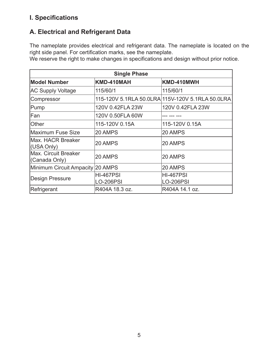# **I. Specifi cations**

# **A. Electrical and Refrigerant Data**

The nameplate provides electrical and refrigerant data. The nameplate is located on the right side panel. For certification marks, see the nameplate.

We reserve the right to make changes in specifications and design without prior notice.

| <b>Single Phase</b>                   |                  |                                                  |  |
|---------------------------------------|------------------|--------------------------------------------------|--|
| <b>Model Number</b>                   | KMD-410MAH       | KMD-410MWH                                       |  |
| <b>AC Supply Voltage</b>              | 115/60/1         | 115/60/1                                         |  |
| Compressor                            |                  | 115-120V 5.1RLA 50.0LRA 115V-120V 5.1RLA 50.0LRA |  |
| Pump                                  | 120V 0.42FLA 23W | 120V 0.42FLA 23W                                 |  |
| Fan                                   | 120V 0.50FLA 60W |                                                  |  |
| Other                                 | 115-120V 0.15A   | 115-120V 0.15A                                   |  |
| Maximum Fuse Size                     | 20 AMPS          | 20 AMPS                                          |  |
| Max. HACR Breaker<br>(USA Only)       | 20 AMPS          | 20 AMPS                                          |  |
| Max. Circuit Breaker<br>(Canada Only) | 20 AMPS          | 20 AMPS                                          |  |
| Minimum Circuit Ampacity 20 AMPS      |                  | 20 AMPS                                          |  |
| <b>Design Pressure</b>                | <b>HI-467PSI</b> | <b>HI-467PSI</b>                                 |  |
|                                       | <b>LO-206PSI</b> | LO-206PSI                                        |  |
| Refrigerant                           | R404A 18.3 oz.   | R404A 14.1 oz.                                   |  |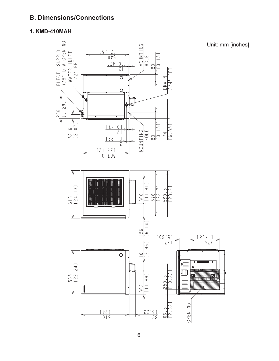# **B. Dimensions/Connections**

#### **1. KMD-410MAH**

Unit: mm [inches]

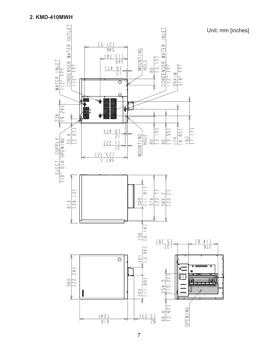

Unit: mm [inches]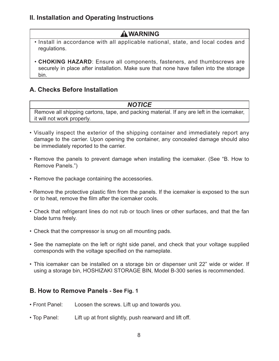# **II. Installation and Operating Instructions**

# **WARNING**

- Install in accordance with all applicable national, state, and local codes and regulations.
- **CHOKING HAZARD**: Ensure all components, fasteners, and thumbscrews are securely in place after installation. Make sure that none have fallen into the storage bin.

# **A. Checks Before Installation**

#### *NOTICE*

Remove all shipping cartons, tape, and packing material. If any are left in the icemaker, it will not work properly.

- Visually inspect the exterior of the shipping container and immediately report any damage to the carrier. Upon opening the container, any concealed damage should also be immediately reported to the carrier.
- Remove the panels to prevent damage when installing the icemaker. (See "B. How to Remove Panels.")
- Remove the package containing the accessories.
- Remove the protective plastic film from the panels. If the icemaker is exposed to the sun or to heat, remove the film after the icemaker cools.
- Check that refrigerant lines do not rub or touch lines or other surfaces, and that the fan blade turns freely.
- Check that the compressor is snug on all mounting pads.
- See the nameplate on the left or right side panel, and check that your voltage supplied corresponds with the voltage specified on the nameplate.
- This icemaker can be installed on a storage bin or dispenser unit 22" wide or wider. If using a storage bin, HOSHIZAKI STORAGE BIN, Model B-300 series is recommended.

# **B. How to Remove Panels - See Fig. 1**

- Front Panel: Loosen the screws. Lift up and towards you.
- Top Panel: Lift up at front slightly, push rearward and lift off.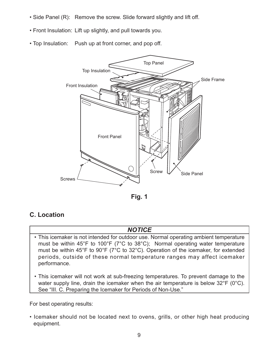- Side Panel (R): Remove the screw. Slide forward slightly and lift off.
- Front Insulation: Lift up slightly, and pull towards you.
- Top Insulation: Push up at front corner, and pop off.



**Fig. 1**

# **C. Location**

# *NOTICE*

- This icemaker is not intended for outdoor use. Normal operating ambient temperature must be within 45°F to 100°F (7°C to 38°C); Normal operating water temperature must be within 45°F to 90°F (7°C to 32°C). Operation of the icemaker, for extended periods, outside of these normal temperature ranges may affect icemaker performance.
- This icemaker will not work at sub-freezing temperatures. To prevent damage to the water supply line, drain the icemaker when the air temperature is below 32°F (0°C). See "III. C. Preparing the Icemaker for Periods of Non-Use."

For best operating results:

• Icemaker should not be located next to ovens, grills, or other high heat producing equipment.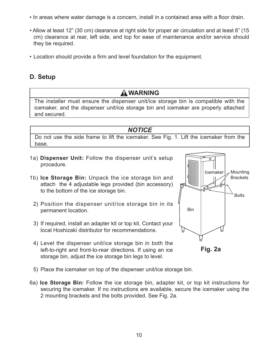- In areas where water damage is a concern, install in a contained area with a floor drain.
- Allow at least 12" (30 cm) clearance at right side for proper air circulation and at least 6" (15 cm) clearance at rear, left side, and top for ease of maintenance and/or service should they be required.
- Location should provide a firm and level foundation for the equipment.

# **D. Setup**

# **WARNING**

The installer must ensure the dispenser unit/ice storage bin is compatible with the icemaker, and the dispenser unit/ice storage bin and icemaker are properly attached and secured.

# *NOTICE*

Do not use the side frame to lift the icemaker. See Fig. 1. Lift the icemaker from the base.

- 1a) **Dispenser Unit:** Follow the dispenser unit's setup procedure.
- 1b) **Ice Storage Bin:** Unpack the ice storage bin and attach the 4 adjustable legs provided (bin accessory) to the bottom of the ice storage bin.
	- 2) Position the dispenser unit/ice storage bin in its permanent location.
	- 3) If required, install an adapter kit or top kit. Contact your local Hoshizaki distributor for recommendations.
	- 4) Level the dispenser unit/ice storage bin in both the left-to-right and front-to-rear directions. If using an ice storage bin, adjust the ice storage bin legs to level.





- 5) Place the icemaker on top of the dispenser unit/ice storage bin.
- 6a) **Ice Storage Bin:** Follow the ice storage bin, adapter kit, or top kit instructions for securing the icemaker. If no instructions are available, secure the icemaker using the 2 mounting brackets and the bolts provided. See Fig. 2a.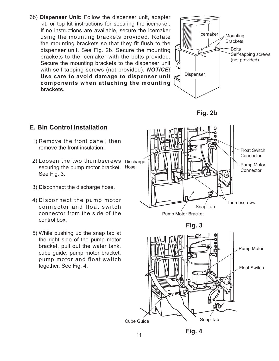6b) **Dispenser Unit:** Follow the dispenser unit, adapter kit, or top kit instructions for securing the icemaker. If no instructions are available, secure the icemaker using the mounting brackets provided. Rotate the mounting brackets so that they fit flush to the dispenser unit. See Fig. 2b. Secure the mounting brackets to the icemaker with the bolts provided. Secure the mounting brackets to the dispenser unit with self-tapping screws (not provided). *NOTICE!* **Use care to avoid damage to dispenser unit components when attaching the mounting brackets.**



**Fig. 2b**

# **E. Bin Control Installation**

- 1) Remove the front panel, then remove the front insulation.
- 2) Loosen the two thumbscrews Discharge securing the pump motor bracket. Hose See Fig. 3.
- 3) Disconnect the discharge hose.
- 4) Disconnect the pump motor connector and float switch connector from the side of the control box.
- 5) While pushing up the snap tab at the right side of the pump motor bracket, pull out the water tank, cube guide, pump motor bracket, pump motor and float switch together. See Fig. 4.

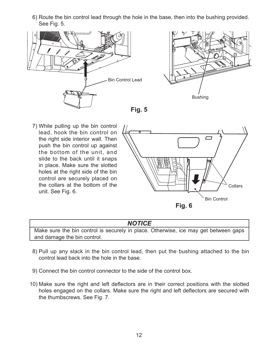6) Route the bin control lead through the hole in the base, then into the bushing provided. See Fig. 5.







7) While pulling up the bin control lead, hook the bin control on the right side interior wall. Then push the bin control up against the bottom of the unit, and slide to the back until it snaps in place. Make sure the slotted holes at the right side of the bin control are securely placed on the collars at the bottom of the unit. See Fig. 6.



#### *NOTICE*

Make sure the bin control is securely in place. Otherwise, ice may get between gaps and damage the bin control.

- 8) Pull up any slack in the bin control lead, then put the bushing attached to the bin control lead back into the hole in the base.
- 9) Connect the bin control connector to the side of the control box.
- 10) Make sure the right and left deflectors are in their correct positions with the slotted holes engaged on the collars. Make sure the right and left deflectors are secured with the thumbscrews. See Fig. 7.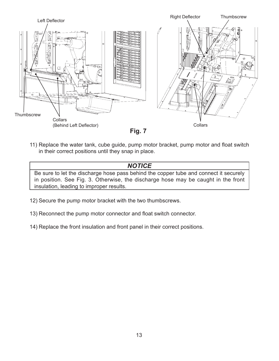



11) Replace the water tank, cube guide, pump motor bracket, pump motor and float switch in their correct positions until they snap in place.

*NOTICE* Be sure to let the discharge hose pass behind the copper tube and connect it securely in position. See Fig. 3. Otherwise, the discharge hose may be caught in the front insulation, leading to improper results.

- 12) Secure the pump motor bracket with the two thumbscrews.
- 13) Reconnect the pump motor connector and float switch connector.
- 14) Replace the front insulation and front panel in their correct positions.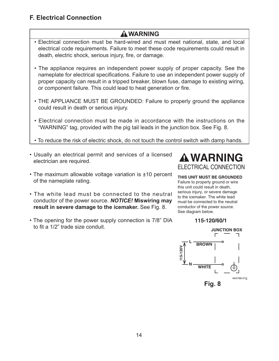# **F. Electrical Connection**

# **WARNING**

- Electrical connection must be hard-wired and must meet national, state, and local electrical code requirements. Failure to meet these code requirements could result in death, electric shock, serious injury, fire, or damage.
- The appliance requires an independent power supply of proper capacity. See the nameplate for electrical specifications. Failure to use an independent power supply of proper capacity can result in a tripped breaker, blown fuse, damage to existing wiring, or component failure. This could lead to heat generation or fire.
- THE APPLIANCE MUST BE GROUNDED: Failure to properly ground the appliance could result in death or serious injury.
- Electrical connection must be made in accordance with the instructions on the "WARNING" tag, provided with the pig tail leads in the junction box. See Fig. 8.
- To reduce the risk of electric shock, do not touch the control switch with damp hands.
- Usually an electrical permit and services of a licensed electrician are required.
- The maximum allowable voltage variation is ±10 percent of the nameplate rating.
- The white lead must be connected to the neutral conductor of the power source. *NOTICE!* **Miswiring may result in severe damage to the icemaker.** See Fig. 8.
- The opening for the power supply connection is 7/8" DIA to fit a 1/2" trade size conduit.



#### **THIS UNIT MUST BE GROUNDED**

Failure to properly ground or wire this unit could result in death, serious injury, or severe damage to the icemaker. The white lead must be connected to the neutral conductor of the power source. See diagram below.

#### 115-120/60/1

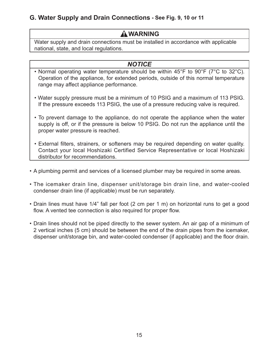# **G. Water Supply and Drain Connections - See Fig. 9, 10 or 11**

# **WARNING**

Water supply and drain connections must be installed in accordance with applicable national, state, and local regulations.

# *NOTICE*

- Normal operating water temperature should be within 45°F to 90°F (7°C to 32°C). Operation of the appliance, for extended periods, outside of this normal temperature range may affect appliance performance.
- Water supply pressure must be a minimum of 10 PSIG and a maximum of 113 PSIG. If the pressure exceeds 113 PSIG, the use of a pressure reducing valve is required.
- To prevent damage to the appliance, do not operate the appliance when the water supply is off, or if the pressure is below 10 PSIG. Do not run the appliance until the proper water pressure is reached.
- External filters, strainers, or softeners may be required depending on water quality. Contact your local Hoshizaki Certified Service Representative or local Hoshizaki distributor for recommendations.
- A plumbing permit and services of a licensed plumber may be required in some areas.
- The icemaker drain line, dispenser unit/storage bin drain line, and water-cooled condenser drain line (if applicable) must be run separately.
- Drain lines must have 1/4" fall per foot (2 cm per 1 m) on horizontal runs to get a good flow. A vented tee connection is also required for proper flow.
- Drain lines should not be piped directly to the sewer system. An air gap of a minimum of 2 vertical inches (5 cm) should be between the end of the drain pipes from the icemaker, dispenser unit/storage bin, and water-cooled condenser (if applicable) and the floor drain.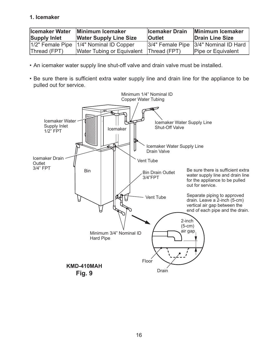#### **1. Icemaker**

| <b>Icemaker Water</b><br><b>Supply Inlet</b> | Minimum Icemaker<br><b>Water Supply Line Size</b> | <b>Icemaker Drain</b><br><b>Outlet</b> | Minimum Icemaker<br>Drain Line Size   |
|----------------------------------------------|---------------------------------------------------|----------------------------------------|---------------------------------------|
| $1/2$ " Female Pipe                          | 1/4" Nominal ID Copper                            |                                        | 3/4" Female Pipe 3/4" Nominal ID Hard |
| Thread (FPT)                                 | <b>Water Tubing or Equivalent</b>                 | Thread (FPT)                           | Pipe or Equivalent                    |

- An icemaker water supply line shut-off valve and drain valve must be installed.
- Be sure there is sufficient extra water supply line and drain line for the appliance to be pulled out for service.

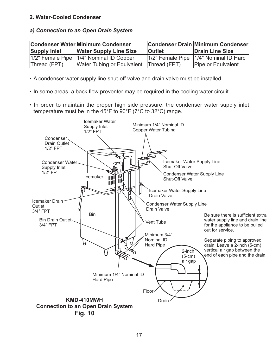#### **2. Water-Cooled Condenser**

#### *a) Connection to an Open Drain System*

|                     | Condenser Water Minimum Condenser         |               | Condenser Drain Minimum Condenser     |
|---------------------|-------------------------------------------|---------------|---------------------------------------|
| <b>Supply Inlet</b> | <b>Water Supply Line Size</b>             | <b>Outlet</b> | Drain Line Size                       |
|                     | 1/2" Female Pipe   1/4" Nominal ID Copper |               | 1/2" Female Pipe 1/4" Nominal ID Hard |
| Thread (FPT)        | Water Tubing or Equivalent                | Thread (FPT)  | Pipe or Equivalent                    |

- A condenser water supply line shut-off valve and drain valve must be installed.
- In some areas, a back flow preventer may be required in the cooling water circuit.
- In order to maintain the proper high side pressure, the condenser water supply inlet temperature must be in the 45°F to 90°F (7°C to 32°C) range.

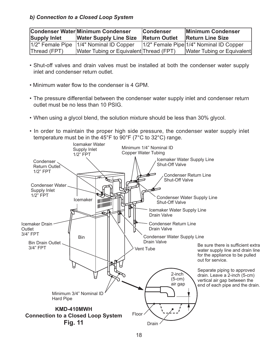#### *b) Connection to a Closed Loop System*

| <b>Supply Inlet</b> | Condenser Water Minimum Condenser<br><b>Water Supply Line Size Return Outlet</b> | <b>Condenser</b> | Minimum Condenser<br><b>Return Line Size</b> |
|---------------------|----------------------------------------------------------------------------------|------------------|----------------------------------------------|
|                     | 1/2" Female Pipe   1/4" Nominal ID Copper                                        |                  | 1/2" Female Pipe 1/4" Nominal ID Copper      |
| Thread (FPT)        | Water Tubing or Equivalent Thread (FPT)                                          |                  | Water Tubing or Equivalent                   |

- Shut-off valves and drain valves must be installed at both the condenser water supply inlet and condenser return outlet.
- Minimum water flow to the condenser is 4 GPM.
- The pressure differential between the condenser water supply inlet and condenser return outlet must be no less than 10 PSIG.
- When using a glycol blend, the solution mixture should be less than 30% glycol.
- In order to maintain the proper high side pressure, the condenser water supply inlet temperature must be in the  $45^{\circ}$ F to  $90^{\circ}$ F (7°C to 32°C) range.

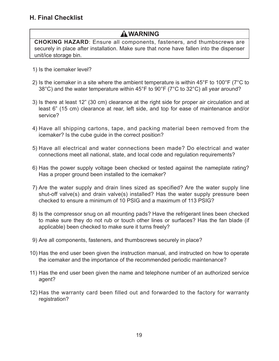# **WARNING**

**CHOKING HAZARD**: Ensure all components, fasteners, and thumbscrews are securely in place after installation. Make sure that none have fallen into the dispenser unit/ice storage bin.

- 1) Is the icemaker level?
- 2) Is the icemaker in a site where the ambient temperature is within  $45^{\circ}$ F to 100 $^{\circ}$ F (7 $^{\circ}$ C to 38°C) and the water temperature within 45°F to 90°F (7°C to 32°C) all year around?
- 3) Is there at least 12" (30 cm) clearance at the right side for proper air circulation and at least 6" (15 cm) clearance at rear, left side, and top for ease of maintenance and/or service?
- 4) Have all shipping cartons, tape, and packing material been removed from the icemaker? Is the cube guide in the correct position?
- 5) Have all electrical and water connections been made? Do electrical and water connections meet all national, state, and local code and regulation requirements?
- 6) Has the power supply voltage been checked or tested against the nameplate rating? Has a proper ground been installed to the icemaker?
- 7) Are the water supply and drain lines sized as specified? Are the water supply line shut-off valve(s) and drain valve(s) installed? Has the water supply pressure been checked to ensure a minimum of 10 PSIG and a maximum of 113 PSIG?
- 8) Is the compressor snug on all mounting pads? Have the refrigerant lines been checked to make sure they do not rub or touch other lines or surfaces? Has the fan blade (if applicable) been checked to make sure it turns freely?
- 9) Are all components, fasteners, and thumbscrews securely in place?
- 10) Has the end user been given the instruction manual, and instructed on how to operate the icemaker and the importance of the recommended periodic maintenance?
- 11) Has the end user been given the name and telephone number of an authorized service agent?
- 12) Has the warranty card been filled out and forwarded to the factory for warranty registration?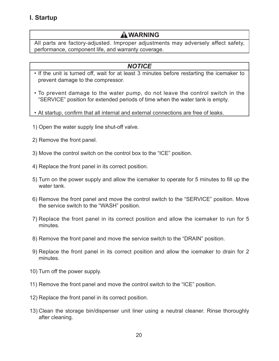# **I. Startup**

# **WARNING**

All parts are factory-adjusted. Improper adjustments may adversely affect safety, performance, component life, and warranty coverage.

# *NOTICE*

- If the unit is turned off, wait for at least 3 minutes before restarting the icemaker to prevent damage to the compressor.
- To prevent damage to the water pump, do not leave the control switch in the "SERVICE" position for extended periods of time when the water tank is empty.
- At startup, confirm that all internal and external connections are free of leaks.
- 1) Open the water supply line shut-off valve.
- 2) Remove the front panel.
- 3) Move the control switch on the control box to the "ICE" position.
- 4) Replace the front panel in its correct position.
- 5) Turn on the power supply and allow the icemaker to operate for 5 minutes to fill up the water tank.
- 6) Remove the front panel and move the control switch to the "SERVICE" position. Move the service switch to the "WASH" position.
- 7) Replace the front panel in its correct position and allow the icemaker to run for 5 minutes.
- 8) Remove the front panel and move the service switch to the "DRAIN" position.
- 9) Replace the front panel in its correct position and allow the icemaker to drain for 2 minutes.
- 10) Turn off the power supply.
- 11) Remove the front panel and move the control switch to the "ICE" position.
- 12) Replace the front panel in its correct position.
- 13) Clean the storage bin/dispenser unit liner using a neutral cleaner. Rinse thoroughly after cleaning.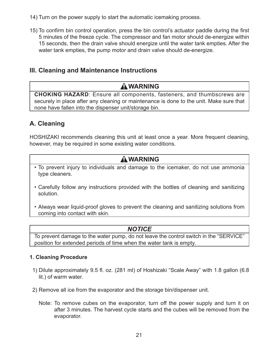- 14) Turn on the power supply to start the automatic icemaking process.
- 15) To confirm bin control operation, press the bin control's actuator paddle during the first 5 minutes of the freeze cycle. The compressor and fan motor should de-energize within 15 seconds, then the drain valve should energize until the water tank empties. After the water tank empties, the pump motor and drain valve should de-energize.

# **III. Cleaning and Maintenance Instructions**

# **WARNING**

**CHOKING HAZARD**: Ensure all components, fasteners, and thumbscrews are securely in place after any cleaning or maintenance is done to the unit. Make sure that none have fallen into the dispenser unit/storage bin.

# **A. Cleaning**

HOSHIZAKI recommends cleaning this unit at least once a year. More frequent cleaning, however, may be required in some existing water conditions.

# **WARNING**

- To prevent injury to individuals and damage to the icemaker, do not use ammonia type cleaners.
- Carefully follow any instructions provided with the bottles of cleaning and sanitizing solution.
- Always wear liquid-proof gloves to prevent the cleaning and sanitizing solutions from coming into contact with skin.

# *NOTICE*

To prevent damage to the water pump, do not leave the control switch in the "SERVICE" position for extended periods of time when the water tank is empty.

#### **1. Cleaning Procedure**

- 1) Dilute approximately 9.5 fl . oz. (281 ml) of Hoshizaki "Scale Away" with 1.8 gallon (6.8 lit.) of warm water.
- 2) Remove all ice from the evaporator and the storage bin/dispenser unit.
	- Note: To remove cubes on the evaporator, turn off the power supply and turn it on after 3 minutes. The harvest cycle starts and the cubes will be removed from the evaporator.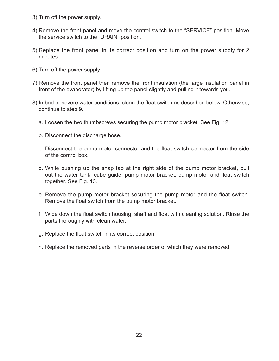- 3) Turn off the power supply.
- 4) Remove the front panel and move the control switch to the "SERVICE" position. Move the service switch to the "DRAIN" position.
- 5) Replace the front panel in its correct position and turn on the power supply for 2 minutes.
- 6) Turn off the power supply.
- 7) Remove the front panel then remove the front insulation (the large insulation panel in front of the evaporator) by lifting up the panel slightly and pulling it towards you.
- 8) In bad or severe water conditions, clean the float switch as described below. Otherwise, continue to step 9.
	- a. Loosen the two thumbscrews securing the pump motor bracket. See Fig. 12.
	- b. Disconnect the discharge hose.
	- c. Disconnect the pump motor connector and the float switch connector from the side of the control box.
	- d. While pushing up the snap tab at the right side of the pump motor bracket, pull out the water tank, cube guide, pump motor bracket, pump motor and float switch together. See Fig. 13.
	- e. Remove the pump motor bracket securing the pump motor and the float switch. Remove the float switch from the pump motor bracket.
	- f. Wipe down the float switch housing, shaft and float with cleaning solution. Rinse the parts thoroughly with clean water.
	- g. Replace the float switch in its correct position.
	- h. Replace the removed parts in the reverse order of which they were removed.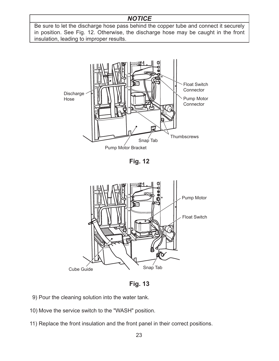# *NOTICE*

Be sure to let the discharge hose pass behind the copper tube and connect it securely in position. See Fig. 12. Otherwise, the discharge hose may be caught in the front insulation, leading to improper results.







**Fig. 13**

- 9) Pour the cleaning solution into the water tank.
- 10) Move the service switch to the "WASH" position.
- 11) Replace the front insulation and the front panel in their correct positions.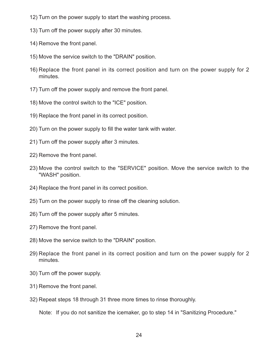- 12) Turn on the power supply to start the washing process.
- 13) Turn off the power supply after 30 minutes.
- 14) Remove the front panel.
- 15) Move the service switch to the "DRAIN" position.
- 16) Replace the front panel in its correct position and turn on the power supply for 2 minutes.
- 17) Turn off the power supply and remove the front panel.
- 18) Move the control switch to the "ICE" position.
- 19) Replace the front panel in its correct position.
- 20) Turn on the power supply to fill the water tank with water.
- 21) Turn off the power supply after 3 minutes.
- 22) Remove the front panel.
- 23) Move the control switch to the "SERVICE" position. Move the service switch to the "WASH" position.
- 24) Replace the front panel in its correct position.
- 25) Turn on the power supply to rinse off the cleaning solution.
- 26) Turn off the power supply after 5 minutes.
- 27) Remove the front panel.
- 28) Move the service switch to the "DRAIN" position.
- 29) Replace the front panel in its correct position and turn on the power supply for 2 minutes.
- 30) Turn off the power supply.
- 31) Remove the front panel.
- 32) Repeat steps 18 through 31 three more times to rinse thoroughly.

Note: If you do not sanitize the icemaker, go to step 14 in "Sanitizing Procedure."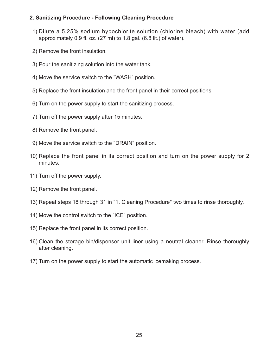#### **2. Sanitizing Procedure - Following Cleaning Procedure**

- 1) Dilute a 5.25% sodium hypochlorite solution (chlorine bleach) with water (add approximately  $0.9$  fl. oz. (27 ml) to 1.8 gal. (6.8 lit.) of water).
- 2) Remove the front insulation.
- 3) Pour the sanitizing solution into the water tank.
- 4) Move the service switch to the "WASH" position.
- 5) Replace the front insulation and the front panel in their correct positions.
- 6) Turn on the power supply to start the sanitizing process.
- 7) Turn off the power supply after 15 minutes.
- 8) Remove the front panel.
- 9) Move the service switch to the "DRAIN" position.
- 10) Replace the front panel in its correct position and turn on the power supply for 2 minutes.
- 11) Turn off the power supply.
- 12) Remove the front panel.
- 13) Repeat steps 18 through 31 in "1. Cleaning Procedure" two times to rinse thoroughly.
- 14) Move the control switch to the "ICE" position.
- 15) Replace the front panel in its correct position.
- 16) Clean the storage bin/dispenser unit liner using a neutral cleaner. Rinse thoroughly after cleaning.
- 17) Turn on the power supply to start the automatic icemaking process.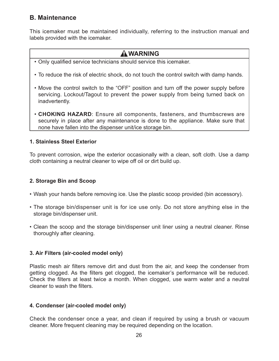# **B. Maintenance**

This icemaker must be maintained individually, referring to the instruction manual and labels provided with the icemaker.

# **WARNING**

- Only qualified service technicians should service this icemaker.
- To reduce the risk of electric shock, do not touch the control switch with damp hands.
- Move the control switch to the "OFF" position and turn off the power supply before servicing. Lockout/Tagout to prevent the power supply from being turned back on inadvertently.
- **CHOKING HAZARD**: Ensure all components, fasteners, and thumbscrews are securely in place after any maintenance is done to the appliance. Make sure that none have fallen into the dispenser unit/ice storage bin.

#### **1. Stainless Steel Exterior**

To prevent corrosion, wipe the exterior occasionally with a clean, soft cloth. Use a damp cloth containing a neutral cleaner to wipe off oil or dirt build up.

#### **2. Storage Bin and Scoop**

- Wash your hands before removing ice. Use the plastic scoop provided (bin accessory).
- The storage bin/dispenser unit is for ice use only. Do not store anything else in the storage bin/dispenser unit.
- Clean the scoop and the storage bin/dispenser unit liner using a neutral cleaner. Rinse thoroughly after cleaning.

#### **3. Air Filters (air-cooled model only)**

Plastic mesh air filters remove dirt and dust from the air, and keep the condenser from getting clogged. As the filters get clogged, the icemaker's performance will be reduced. Check the filters at least twice a month. When clogged, use warm water and a neutral cleaner to wash the filters.

#### **4. Condenser (air-cooled model only)**

Check the condenser once a year, and clean if required by using a brush or vacuum cleaner. More frequent cleaning may be required depending on the location.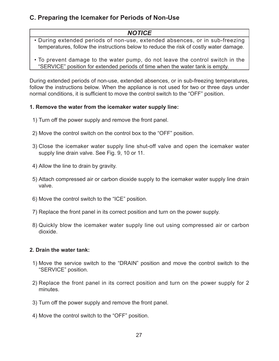# **C. Preparing the Icemaker for Periods of Non-Use**

### *NOTICE*

- During extended periods of non-use, extended absences, or in sub-freezing temperatures, follow the instructions below to reduce the risk of costly water damage.
- To prevent damage to the water pump, do not leave the control switch in the "SERVICE" position for extended periods of time when the water tank is empty.

During extended periods of non-use, extended absences, or in sub-freezing temperatures, follow the instructions below. When the appliance is not used for two or three days under normal conditions, it is sufficient to move the control switch to the "OFF" position.

#### **1. Remove the water from the icemaker water supply line:**

- 1) Turn off the power supply and remove the front panel.
- 2) Move the control switch on the control box to the "OFF" position.
- 3) Close the icemaker water supply line shut-off valve and open the icemaker water supply line drain valve. See Fig. 9, 10 or 11.
- 4) Allow the line to drain by gravity.
- 5) Attach compressed air or carbon dioxide supply to the icemaker water supply line drain valve.
- 6) Move the control switch to the "ICE" position.
- 7) Replace the front panel in its correct position and turn on the power supply.
- 8) Quickly blow the icemaker water supply line out using compressed air or carbon dioxide.

#### **2. Drain the water tank:**

- 1) Move the service switch to the "DRAIN" position and move the control switch to the "SERVICE" position.
- 2) Replace the front panel in its correct position and turn on the power supply for 2 minutes.
- 3) Turn off the power supply and remove the front panel.
- 4) Move the control switch to the "OFF" position.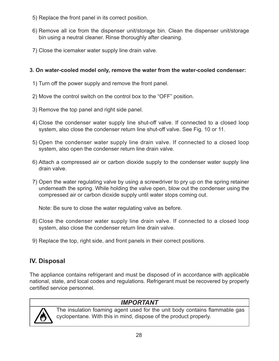- 5) Replace the front panel in its correct position.
- 6) Remove all ice from the dispenser unit/storage bin. Clean the dispenser unit/storage bin using a neutral cleaner. Rinse thoroughly after cleaning.
- 7) Close the icemaker water supply line drain valve.

#### **3. On water-cooled model only, remove the water from the water-cooled condenser:**

- 1) Turn off the power supply and remove the front panel.
- 2) Move the control switch on the control box to the "OFF" position.
- 3) Remove the top panel and right side panel.
- 4) Close the condenser water supply line shut-off valve. If connected to a closed loop system, also close the condenser return line shut-off valve. See Fig. 10 or 11.
- 5) Open the condenser water supply line drain valve. If connected to a closed loop system, also open the condenser return line drain valve.
- 6) Attach a compressed air or carbon dioxide supply to the condenser water supply line drain valve.
- 7) Open the water regulating valve by using a screwdriver to pry up on the spring retainer underneath the spring. While holding the valve open, blow out the condenser using the compressed air or carbon dioxide supply until water stops coming out.

Note: Be sure to close the water regulating valve as before.

- 8) Close the condenser water supply line drain valve. If connected to a closed loop system, also close the condenser return line drain valve.
- 9) Replace the top, right side, and front panels in their correct positions.

# **IV. Disposal**

The appliance contains refrigerant and must be disposed of in accordance with applicable national, state, and local codes and regulations. Refrigerant must be recovered by properly certified service personnel.



*IMPORTANT*

The insulation foaming agent used for the unit body contains flammable gas cyclopentane. With this in mind, dispose of the product properly.